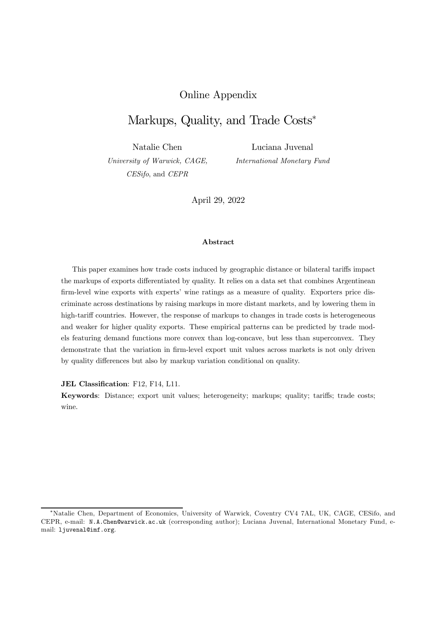## Online Appendix

## Markups, Quality, and Trade Costs<sup>\*</sup>

Natalie Chen

Luciana Juvenal *International Monetary Fund*

*University of Warwick, CAGE, CESifo*, and *CEPR*

April 29, 2022

#### Abstract

This paper examines how trade costs induced by geographic distance or bilateral tariffs impact the markups of exports differentiated by quality. It relies on a data set that combines Argentinean firm-level wine exports with experts' wine ratings as a measure of quality. Exporters price discriminate across destinations by raising markups in more distant markets, and by lowering them in high-tariff countries. However, the response of markups to changes in trade costs is heterogeneous and weaker for higher quality exports. These empirical patterns can be predicted by trade models featuring demand functions more convex than log-concave, but less than superconvex. They demonstrate that the variation in firm-level export unit values across markets is not only driven by quality differences but also by markup variation conditional on quality.

JEL Classification: F12, F14, L11.

Keywords: Distance; export unit values; heterogeneity; markups; quality; tariffs; trade costs; wine.

<sup>¤</sup>Natalie Chen, Department of Economics, University of Warwick, Coventry CV4 7AL, UK, CAGE, CESifo, and CEPR, e-mail: N.A.Chen@warwick.ac.uk (corresponding author); Luciana Juvenal, International Monetary Fund, email: ljuvenal@imf.org.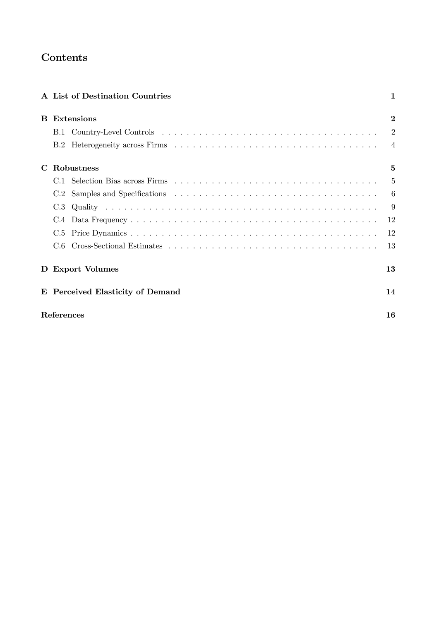# Contents

|    |            | A List of Destination Countries  | 1              |
|----|------------|----------------------------------|----------------|
| B. |            | <b>Extensions</b>                | $\bf{2}$       |
|    | B.1        |                                  | $\overline{2}$ |
|    |            |                                  | $\overline{4}$ |
| C  |            | Robustness                       | 5              |
|    |            |                                  | $\mathbf{5}$   |
|    | C.2        |                                  | 6              |
|    | C.3        |                                  | 9              |
|    | C.4        |                                  | 12             |
|    | C.5        |                                  | 12             |
|    | C.6        |                                  | 13             |
|    |            | D Export Volumes                 | 13             |
|    |            | E Perceived Elasticity of Demand | 14             |
|    | References |                                  | 16             |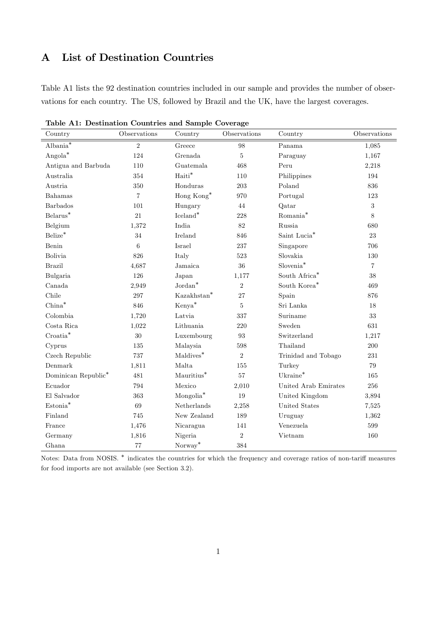## A List of Destination Countries

Table A1 lists the 92 destination countries included in our sample and provides the number of observations for each country. The US, followed by Brazil and the UK, have the largest coverages.

| Country                   | Observations   | Country                 | Observations | Country                   | Observations   |
|---------------------------|----------------|-------------------------|--------------|---------------------------|----------------|
| Albania $\overline{\ast}$ | $\overline{2}$ | Greece                  | 98           | Panama                    | 1,085          |
| $Angola^*$                | 124            | Grenada                 | $\bf 5$      | Paraguay                  | 1,167          |
| Antigua and Barbuda       | 110            | Guatemala               | 468          | Peru                      | 2,218          |
| Australia                 | 354            | Haiti*                  | 110          | Philippines               | 194            |
| Austria                   | 350            | Honduras                | 203          | Poland                    | 836            |
| Bahamas                   | $\overline{7}$ | Hong Kong*              | 970          | Portugal                  | 123            |
| Barbados                  | 101            | Hungary                 | 44           | Qatar                     | $\sqrt{3}$     |
| $Belarus*$                | 21             | $I$ celand <sup>*</sup> | 228          | Romania <sup>*</sup>      | 8              |
| Belgium                   | 1,372          | India                   | 82           | Russia                    | 680            |
| Belize <sup>*</sup>       | 34             | Ireland                 | 846          | Saint Lucia*              | 23             |
| Benin                     | 6              | Israel                  | 237          | Singapore                 | 706            |
| <b>Bolivia</b>            | 826            | Italy                   | $523\,$      | Slovakia                  | 130            |
| <b>Brazil</b>             | 4,687          | Jamaica                 | 36           | Slovenia <sup>*</sup>     | $\overline{7}$ |
| Bulgaria                  | 126            | Japan                   | 1,177        | South $\mathrm{Africa}^*$ | 38             |
| Canada                    | 2,949          | $Jordan^*$              | $\sqrt{2}$   | South Korea <sup>*</sup>  | 469            |
| Chile                     | 297            | Kazakhstan*             | 27           | Spain                     | 876            |
| $China^*$                 | 846            | Kenya <sup>*</sup>      | $5\,$        | Sri Lanka                 | 18             |
| Colombia                  | 1,720          | Latvia                  | 337          | Suriname                  | 33             |
| Costa Rica                | 1,022          | Lithuania               | 220          | Sweden                    | 631            |
| Croatia <sup>*</sup>      | 30             | Luxembourg              | 93           | Switzerland               | 1,217          |
| Cyprus                    | 135            | Malaysia                | 598          | Thailand                  | 200            |
| Czech Republic            | 737            | $Maldives*$             | $\sqrt{2}$   | Trinidad and Tobago       | 231            |
| $\label{eq:1}$ Denmark    | 1,811          | Malta                   | 155          | Turkey                    | 79             |
| Dominican Republic*       | 481            | Mauritius <sup>*</sup>  | 57           | $Uk^$ aine $*$            | 165            |
| Ecuador                   | 794            | Mexico                  | 2,010        | United Arab Emirates      | 256            |
| El Salvador               | 363            | Mongolia <sup>*</sup>   | 19           | United Kingdom            | 3,894          |
| Estonia <sup>*</sup>      | 69             | Netherlands             | 2,258        | United States             | 7,525          |
| Finland                   | 745            | New Zealand             | 189          | Uruguay                   | 1,362          |
| France                    | 1,476          | Nicaragua               | 141          | Venezuela                 | 599            |
| Germany                   | 1,816          | Nigeria                 | $\sqrt{2}$   | Vietnam                   | 160            |
| Ghana                     | 77             | Norway*                 | 384          |                           |                |

Table A1: Destination Countries and Sample Coverage

Notes: Data from NOSIS.  $*$  indicates the countries for which the frequency and coverage ratios of non-tariff measures for food imports are not available (see Section 3.2).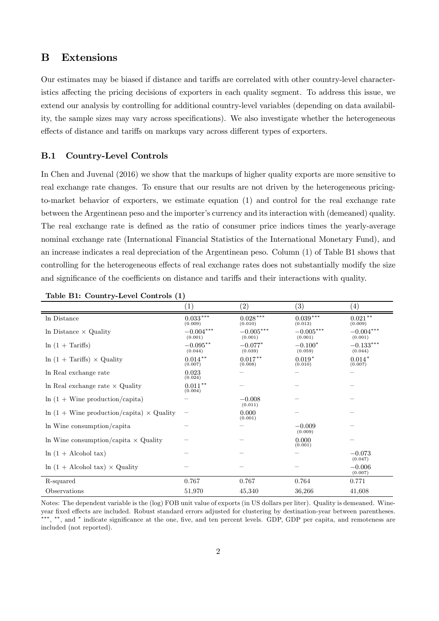## B Extensions

Our estimates may be biased if distance and tariffs are correlated with other country-level characteristics affecting the pricing decisions of exporters in each quality segment. To address this issue, we extend our analysis by controlling for additional country-level variables (depending on data availability, the sample sizes may vary across specifications). We also investigate whether the heterogeneous effects of distance and tariffs on markups vary across different types of exporters.

#### B.1 Country-Level Controls

In Chen and Juvenal (2016) we show that the markups of higher quality exports are more sensitive to real exchange rate changes. To ensure that our results are not driven by the heterogeneous pricingto-market behavior of exporters, we estimate equation (1) and control for the real exchange rate between the Argentinean peso and the importer's currency and its interaction with (demeaned) quality. The real exchange rate is defined as the ratio of consumer price indices times the yearly-average nominal exchange rate (International Financial Statistics of the International Monetary Fund), and an increase indicates a real depreciation of the Argentinean peso. Column (1) of Table B1 shows that controlling for the heterogeneous effects of real exchange rates does not substantially modify the size and significance of the coefficients on distance and tariffs and their interactions with quality.

|                                                     | $\left(1\right)$       | $\left( 2\right)$      | (3)                    | $\left( 4\right)$      |
|-----------------------------------------------------|------------------------|------------------------|------------------------|------------------------|
| In Distance                                         | $0.033***$<br>(0.009)  | $0.028***$<br>(0.010)  | $0.039***$<br>(0.013)  | $0.021***$<br>(0.009)  |
| In Distance $\times$ Quality                        | $-0.004***$<br>(0.001) | $-0.005***$<br>(0.001) | $-0.005***$<br>(0.001) | $-0.004***$<br>(0.001) |
| $\ln(1 + \text{Tariffs})$                           | $-0.095**$<br>(0.044)  | $-0.077*$<br>(0.039)   | $-0.100*$<br>(0.059)   | $-0.133***$<br>(0.044) |
| $\ln(1 + \text{Tariffs}) \times$ Quality            | $0.014***$<br>(0.007)  | $0.017***$<br>(0.008)  | $0.019*$<br>(0.010)    | $0.014*$<br>(0.007)    |
| In Real exchange rate                               | 0.023<br>(0.024)       |                        |                        |                        |
| In Real exchange rate $\times$ Quality              | $0.011**$<br>(0.004)   |                        |                        |                        |
| $\ln(1 + \text{Wine production/capita})$            |                        | $-0.008$<br>(0.011)    |                        |                        |
| $\ln(1 +$ Wine production/capita) $\times$ Quality  |                        | 0.000<br>(0.001)       |                        |                        |
| In Wine consumption/capita                          |                        |                        | $-0.009$<br>(0.009)    |                        |
| In Wine consumption/capita $\times$ Quality         |                        |                        | 0.000<br>(0.001)       |                        |
| $\ln(1 + \text{Alcohol tax})$                       |                        |                        |                        | $-0.073$<br>(0.047)    |
| $\ln(1 + \text{Alcohol tax}) \times \text{Quality}$ |                        |                        |                        | $-0.006$<br>(0.007)    |
| R-squared                                           | 0.767                  | 0.767                  | 0.764                  | 0.771                  |
| Observations                                        | 51,970                 | 45,340                 | 36,266                 | 41,608                 |

Table B1: Country-Level Controls (1)

Notes: The dependent variable is the (log) FOB unit value of exports (in US dollars per liter). Quality is demeaned. Wineyear fixed effects are included. Robust standard errors adjusted for clustering by destination-year between parentheses. \*\*\*, \*\*, and \* indicate significance at the one, five, and ten percent levels. GDP, GDP per capita, and remoteness are included (not reported).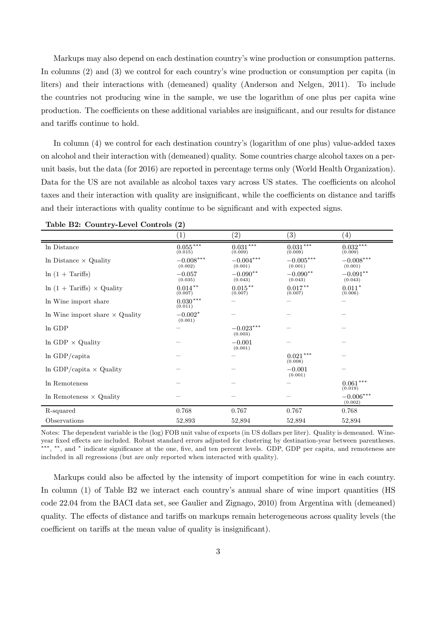Markups may also depend on each destination country's wine production or consumption patterns. In columns (2) and (3) we control for each country's wine production or consumption per capita (in liters) and their interactions with (demeaned) quality (Anderson and Nelgen, 2011). To include the countries not producing wine in the sample, we use the logarithm of one plus per capita wine production. The coefficients on these additional variables are insignificant, and our results for distance and tariffs continue to hold.

In column (4) we control for each destination country's (logarithm of one plus) value-added taxes on alcohol and their interaction with (demeaned) quality. Some countries charge alcohol taxes on a perunit basis, but the data (for 2016) are reported in percentage terms only (World Health Organization). Data for the US are not available as alcohol taxes vary across US states. The coefficients on alcohol taxes and their interaction with quality are insignificant, while the coefficients on distance and tariffs and their interactions with quality continue to be significant and with expected signs.

|                                          | (1)                     | $\left( 2\right)$      | (3)                    | (4)                    |
|------------------------------------------|-------------------------|------------------------|------------------------|------------------------|
| In Distance                              | $0.055***$<br>(0.015)   | $0.031***$<br>(0.009)  | $0.031***$<br>(0.009)  | $0.032***$<br>(0.009)  |
| In Distance $\times$ Quality             | $-0.008***$<br>(0.002)  | $-0.004***$<br>(0.001) | $-0.005***$<br>(0.001) | $-0.008***$<br>(0.001) |
| $\ln(1 + \text{Tariffs})$                | $-0.057$<br>(0.035)     | $-0.090**$<br>(0.043)  | $-0.090**$<br>(0.043)  | $-0.091**$<br>(0.043)  |
| $\ln(1 + \text{Tariffs}) \times$ Quality | $0.014***$<br>(0.007)   | $0.015***$<br>(0.007)  | $0.017***$<br>(0.007)  | $0.011*$<br>(0.006)    |
| In Wine import share                     | $0.030\,***$<br>(0.011) |                        |                        |                        |
| In Wine import share $\times$ Quality    | $-0.002*$<br>(0.001)    |                        |                        |                        |
| ln GDP                                   |                         | $-0.023***$<br>(0.003) |                        |                        |
| In GDP $\times$ Quality                  |                         | $-0.001$<br>(0.001)    |                        |                        |
| $ln$ GDP/capita                          |                         |                        | $0.021***$<br>(0.008)  |                        |
| $\ln$ GDP/capita $\times$ Quality        |                         |                        | $-0.001$<br>(0.001)    |                        |
| In Remoteness                            |                         |                        |                        | $0.061***$<br>(0.019)  |
| In Remoteness $\times$ Quality           |                         |                        |                        | $-0.006***$<br>(0.002) |
| R-squared                                | 0.768                   | 0.767                  | 0.767                  | 0.768                  |
| Observations                             | 52,893                  | 52,894                 | 52,894                 | 52,894                 |

Table B2: Country-Level Controls (2)

Notes: The dependent variable is the (log) FOB unit value of exports (in US dollars per liter). Quality is demeaned. Wineyear fixed effects are included. Robust standard errors adjusted for clustering by destination-year between parentheses. \*\*\*, \*\*, and \* indicate significance at the one, five, and ten percent levels. GDP, GDP per capita, and remoteness are included in all regressions (but are only reported when interacted with quality).

Markups could also be affected by the intensity of import competition for wine in each country. In column (1) of Table B2 we interact each country's annual share of wine import quantities (HS code 22.04 from the BACI data set, see Gaulier and Zignago, 2010) from Argentina with (demeaned) quality. The effects of distance and tariffs on markups remain heterogeneous across quality levels (the coefficient on tariffs at the mean value of quality is insignificant).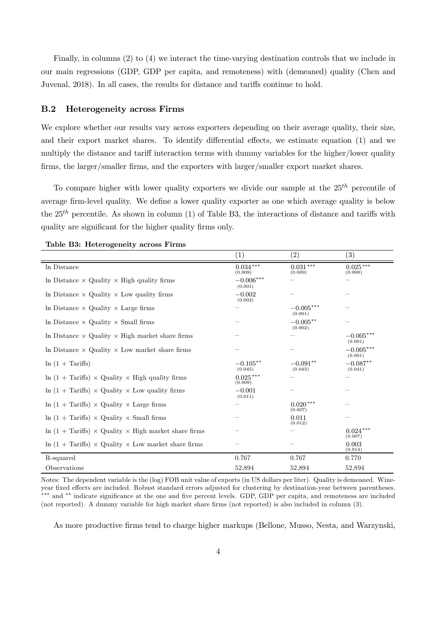Finally, in columns (2) to (4) we interact the time-varying destination controls that we include in our main regressions (GDP, GDP per capita, and remoteness) with (demeaned) quality (Chen and Juvenal, 2018). In all cases, the results for distance and tariffs continue to hold.

#### B.2 Heterogeneity across Firms

We explore whether our results vary across exporters depending on their average quality, their size, and their export market shares. To identify differential effects, we estimate equation (1) and we multiply the distance and tariff interaction terms with dummy variables for the higher/lower quality firms, the larger/smaller firms, and the exporters with larger/smaller export market shares.

To compare higher with lower quality exporters we divide our sample at the  $25<sup>th</sup>$  percentile of average firm-level quality. We define a lower quality exporter as one which average quality is below the  $25<sup>th</sup>$  percentile. As shown in column (1) of Table B3, the interactions of distance and tariffs with quality are significant for the higher quality firms only.

|                                                                           | (1)                    | (2)                    | $\left( 3\right)$      |
|---------------------------------------------------------------------------|------------------------|------------------------|------------------------|
| In Distance                                                               | $0.034***$<br>(0.009)  | $0.031***$<br>(0.009)  | $0.025***$<br>(0.008)  |
| In Distance $\times$ Quality $\times$ High quality firms                  | $-0.006***$<br>(0.001) |                        |                        |
| In Distance $\times$ Quality $\times$ Low quality firms                   | $-0.002$<br>(0.002)    |                        |                        |
| In Distance $\times$ Quality $\times$ Large firms                         |                        | $-0.005***$<br>(0.001) |                        |
| In Distance $\times$ Quality $\times$ Small firms                         |                        | $-0.005**$<br>(0.002)  |                        |
| In Distance $\times$ Quality $\times$ High market share firms             |                        |                        | $-0.005***$<br>(0.001) |
| In Distance $\times$ Quality $\times$ Low market share firms              |                        |                        | $-0.005***$<br>(0.001) |
| $\ln(1 + \text{Tariffs})$                                                 | $-0.105**$<br>(0.045)  | $-0.091**$<br>(0.043)  | $-0.087**$<br>(0.041)  |
| $\ln(1 + \text{Tariffs}) \times$ Quality $\times$ High quality firms      | $0.025***$<br>(0.009)  |                        |                        |
| $\ln(1 + \text{Tariffs}) \times$ Quality $\times$ Low quality firms       | $-0.001$<br>(0.011)    |                        |                        |
| $\ln(1 + \text{Tariffs}) \times$ Quality $\times$ Large firms             |                        | $0.020***$<br>(0.007)  |                        |
| $\ln(1 + \text{Tariffs}) \times$ Quality $\times$ Small firms             |                        | 0.011<br>(0.012)       |                        |
| $\ln(1 + \text{Tariffs}) \times$ Quality $\times$ High market share firms |                        |                        | $0.024***$<br>(0.007)  |
| $\ln(1 + \text{Tariffs}) \times$ Quality $\times$ Low market share firms  |                        |                        | 0.003<br>(0.014)       |
| R-squared                                                                 | 0.767                  | 0.767                  | 0.770                  |
| Observations                                                              | 52,894                 | 52,894                 | 52,894                 |

Table B3: Heterogeneity across Firms

Notes: The dependent variable is the (log) FOB unit value of exports (in US dollars per liter). Quality is demeaned. Wineyear fixed effects are included. Robust standard errors adjusted for clustering by destination-year between parentheses. \*\*\* and \*\* indicate significance at the one and five percent levels. GDP, GDP per capita, and remoteness are included (not reported). A dummy variable for high market share firms (not reported) is also included in column (3).

As more productive firms tend to charge higher markups (Bellone, Musso, Nesta, and Warzynski,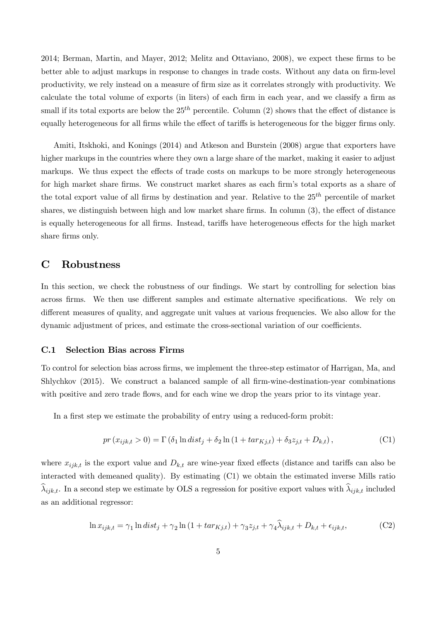$2014$ ; Berman, Martin, and Mayer,  $2012$ ; Melitz and Ottaviano,  $2008$ ), we expect these firms to be better able to adjust markups in response to changes in trade costs. Without any data on firm-level productivity, we rely instead on a measure of firm size as it correlates strongly with productivity. We calculate the total volume of exports (in liters) of each firm in each year, and we classify a firm as small if its total exports are below the  $25<sup>th</sup>$  percentile. Column (2) shows that the effect of distance is equally heterogeneous for all firms while the effect of tariffs is heterogeneous for the bigger firms only.

Amiti, Itskhoki, and Konings (2014) and Atkeson and Burstein (2008) argue that exporters have higher markups in the countries where they own a large share of the market, making it easier to adjust markups. We thus expect the effects of trade costs on markups to be more strongly heterogeneous for high market share firms. We construct market shares as each firm's total exports as a share of the total export value of all firms by destination and year. Relative to the  $25<sup>th</sup>$  percentile of market shares, we distinguish between high and low market share firms. In column  $(3)$ , the effect of distance is equally heterogeneous for all firms. Instead, tariffs have heterogeneous effects for the high market share firms only.

### C Robustness

In this section, we check the robustness of our findings. We start by controlling for selection bias across firms. We then use different samples and estimate alternative specifications. We rely on different measures of quality, and aggregate unit values at various frequencies. We also allow for the dynamic adjustment of prices, and estimate the cross-sectional variation of our coefficients.

#### C.1 Selection Bias across Firms

To control for selection bias across firms, we implement the three-step estimator of Harrigan, Ma, and Shlychkov (2015). We construct a balanced sample of all firm-wine-destination-year combinations with positive and zero trade flows, and for each wine we drop the years prior to its vintage year.

In a first step we estimate the probability of entry using a reduced-form probit:

$$
pr(x_{ijk,t} > 0) = \Gamma(\delta_1 \ln dist_j + \delta_2 \ln (1 + tar_{Kj,t}) + \delta_3 z_{j,t} + D_{k,t}),
$$
\n(C1)

where  $x_{ijk,t}$  is the export value and  $D_{k,t}$  are wine-year fixed effects (distance and tariffs can also be interacted with demeaned quality). By estimating (C1) we obtain the estimated inverse Mills ratio  $\lambda_{ijk,t}$ . In a second step we estimate by OLS a regression for positive export values with  $\lambda_{ijk,t}$  included as an additional regressor:

$$
\ln x_{ijk,t} = \gamma_1 \ln dist_j + \gamma_2 \ln \left( 1 + tar_{Kj,t} \right) + \gamma_3 z_{j,t} + \gamma_4 \hat{\lambda}_{ijk,t} + D_{k,t} + \epsilon_{ijk,t},\tag{C2}
$$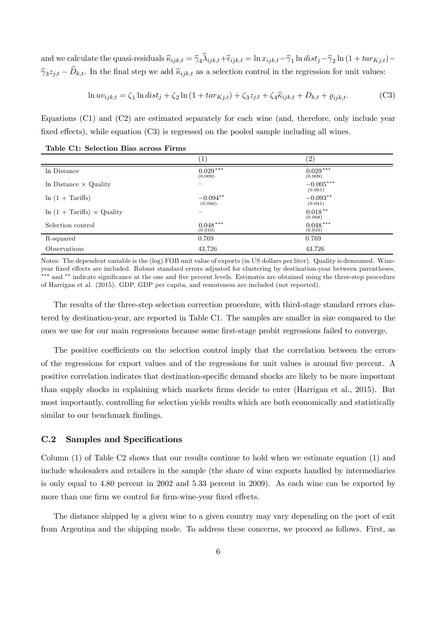and we calculate the quasi-residuals  $\widehat{\kappa}_{ijk,t} = \widehat{\gamma}_4 \lambda_{ijk,t} + \widehat{\epsilon}_{ijk,t} = \ln x_{ijk,t} - \widehat{\gamma}_1 \ln dist_j - \widehat{\gamma}_2 \ln(1 + tar_{Kj,t}) \hat{\gamma}_3 z_{j,t} - D_{k,t}$ . In the final step we add  $\hat{\kappa}_{ijk,t}$  as a selection control in the regression for unit values:

$$
\ln uv_{ijk,t} = \zeta_1 \ln dist_j + \zeta_2 \ln (1 + tar_{Kj,t}) + \zeta_3 z_{j,t} + \zeta_4 \hat{\kappa}_{ijk,t} + D_{k,t} + \varrho_{ijk,t}.
$$
 (C3)

Equations (C1) and (C2) are estimated separately for each wine (and, therefore, only include year fixed effects), while equation  $(C3)$  is regressed on the pooled sample including all wines.

|                                          | $\mathbf{1}$          | $^{\prime}2)$          |
|------------------------------------------|-----------------------|------------------------|
| In Distance                              | $0.029***$<br>(0.009) | $0.029***$<br>(0.009)  |
| In Distance $\times$ Quality             |                       | $-0.005***$<br>(0.001) |
| $\ln(1 + \text{Tariffs})$                | $-0.094**$<br>(0.040) | $-0.093**$<br>(0.041)  |
| $\ln(1 + \text{Tariffs}) \times$ Quality |                       | $0.018***$<br>(0.008)  |
| Selection control                        | $0.048***$<br>(0.010) | $0.048***$<br>(0.010)  |
| R-squared                                | 0.769                 | 0.769                  |
| Observations                             | 43,726                | 43,726                 |

Table C1: Selection Bias across Firms

Notes: The dependent variable is the (log) FOB unit value of exports (in US dollars per liter). Quality is demeaned. Wineyear fixed effects are included. Robust standard errors adjusted for clustering by destination-year between parentheses. \*\*\* and \*\* indicate significance at the one and five percent levels. Estimates are obtained using the three-step procedure of Harrigan et al. (2015). GDP, GDP per capita, and remoteness are included (not reported).

The results of the three-step selection correction procedure, with third-stage standard errors clustered by destination-year, are reported in Table C1. The samples are smaller in size compared to the ones we use for our main regressions because some first-stage probit regressions failed to converge.

The positive coefficients on the selection control imply that the correlation between the errors of the regressions for export values and of the regressions for unit values is around five percent. A positive correlation indicates that destination-specific demand shocks are likely to be more important than supply shocks in explaining which markets firms decide to enter (Harrigan et al., 2015). But most importantly, controlling for selection yields results which are both economically and statistically similar to our benchmark findings.

### C.2 Samples and Specifications

Column (1) of Table C2 shows that our results continue to hold when we estimate equation (1) and include wholesalers and retailers in the sample (the share of wine exports handled by intermediaries is only equal to 4.80 percent in 2002 and 5.33 percent in 2009). As each wine can be exported by more than one firm we control for firm-wine-year fixed effects.

The distance shipped by a given wine to a given country may vary depending on the port of exit from Argentina and the shipping mode. To address these concerns, we proceed as follows. First, as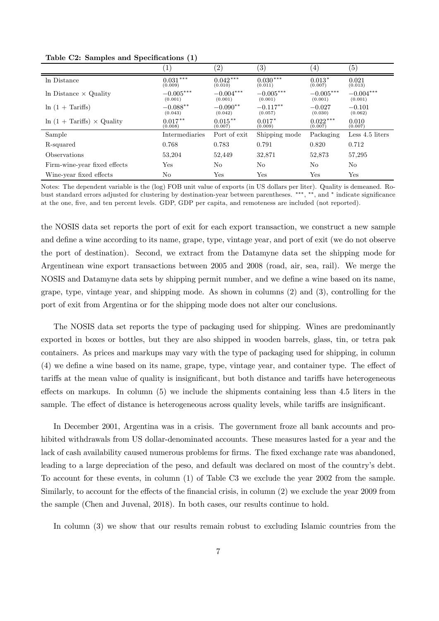|                                          | $\left(1\right)$       | (2)                    | $\left( 3\right)$      | $\left( 4\right)$      | $\left( 5\right)$      |
|------------------------------------------|------------------------|------------------------|------------------------|------------------------|------------------------|
| In Distance                              | $0.031***$<br>(0.009)  | $0.042***$<br>(0.010)  | $0.030***$<br>(0.011)  | $0.013*$<br>(0.007)    | 0.021<br>(0.013)       |
| In Distance $\times$ Quality             | $-0.005***$<br>(0.001) | $-0.004***$<br>(0.001) | $-0.005***$<br>(0.001) | $-0.005***$<br>(0.001) | $-0.004***$<br>(0.001) |
| $\ln(1 + \text{Tariffs})$                | $-0.088**$<br>(0.043)  | $-0.090**$<br>(0.042)  | $-0.117**$<br>(0.057)  | $-0.027$<br>(0.030)    | $-0.101$<br>(0.062)    |
| $\ln(1 + \text{Tariffs}) \times$ Quality | $0.017***$<br>(0.008)  | $0.015***$<br>(0.007)  | $0.017*$<br>(0.009)    | $0.022***$<br>(0.007)  | 0.010<br>(0.007)       |
| Sample                                   | Intermediaries         | Port of exit           | Shipping mode          | Packaging              | Less 4.5 liters        |
| R-squared                                | 0.768                  | 0.783                  | 0.791                  | 0.820                  | 0.712                  |
| Observations                             | 53,204                 | 52.449                 | 32,871                 | 52,873                 | 57,295                 |
| Firm-wine-year fixed effects             | Yes                    | No                     | No                     | No                     | N <sub>o</sub>         |
| Wine-year fixed effects                  | No                     | Yes                    | Yes                    | Yes                    | Yes                    |

Table C2: Samples and Specifications  $(1)$ 

Notes: The dependent variable is the (log) FOB unit value of exports (in US dollars per liter). Quality is demeaned. Robust standard errors adjusted for clustering by destination-year between parentheses. \*\*\*, \*\*, and \* indicate significance at the one, five, and ten percent levels. GDP, GDP per capita, and remoteness are included (not reported).

the NOSIS data set reports the port of exit for each export transaction, we construct a new sample and define a wine according to its name, grape, type, vintage year, and port of exit (we do not observe the port of destination). Second, we extract from the Datamyne data set the shipping mode for Argentinean wine export transactions between 2005 and 2008 (road, air, sea, rail). We merge the NOSIS and Datamyne data sets by shipping permit number, and we define a wine based on its name, grape, type, vintage year, and shipping mode. As shown in columns (2) and (3), controlling for the port of exit from Argentina or for the shipping mode does not alter our conclusions.

The NOSIS data set reports the type of packaging used for shipping. Wines are predominantly exported in boxes or bottles, but they are also shipped in wooden barrels, glass, tin, or tetra pak containers. As prices and markups may vary with the type of packaging used for shipping, in column (4) we define a wine based on its name, grape, type, vintage year, and container type. The effect of tariffs at the mean value of quality is insignificant, but both distance and tariffs have heterogeneous effects on markups. In column  $(5)$  we include the shipments containing less than 4.5 liters in the sample. The effect of distance is heterogeneous across quality levels, while tariffs are insignificant.

In December 2001, Argentina was in a crisis. The government froze all bank accounts and prohibited withdrawals from US dollar-denominated accounts. These measures lasted for a year and the lack of cash availability caused numerous problems for firms. The fixed exchange rate was abandoned, leading to a large depreciation of the peso, and default was declared on most of the country's debt. To account for these events, in column (1) of Table C3 we exclude the year 2002 from the sample. Similarly, to account for the effects of the financial crisis, in column  $(2)$  we exclude the year 2009 from the sample (Chen and Juvenal, 2018). In both cases, our results continue to hold.

In column (3) we show that our results remain robust to excluding Islamic countries from the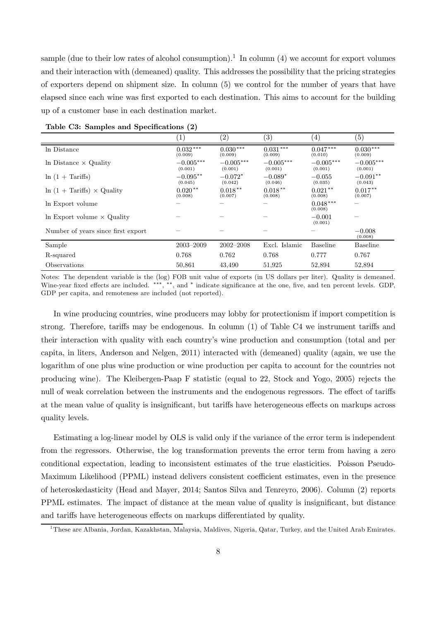sample (due to their low rates of alcohol consumption).<sup>1</sup> In column (4) we account for export volumes and their interaction with (demeaned) quality. This addresses the possibility that the pricing strategies of exporters depend on shipment size. In column (5) we control for the number of years that have elapsed since each wine was first exported to each destination. This aims to account for the building up of a customer base in each destination market.

| л.<br>л.                                 | $\sqrt{ }$             |                        |                        |                        |                        |
|------------------------------------------|------------------------|------------------------|------------------------|------------------------|------------------------|
|                                          |                        | (2)                    | $\left( 3\right)$      | $\left(4\right)$       | $\left( 5\right)$      |
| In Distance                              | $0.032***$<br>(0.009)  | $0.030***$<br>(0.009)  | $0.031***$<br>(0.009)  | $0.047***$<br>(0.010)  | $0.030***$<br>(0.009)  |
| In Distance $\times$ Quality             | $-0.005***$<br>(0.001) | $-0.005***$<br>(0.001) | $-0.005***$<br>(0.001) | $-0.005***$<br>(0.001) | $-0.005***$<br>(0.001) |
| $\ln(1 + \text{Tariffs})$                | $-0.095***$<br>(0.045) | $-0.072*$<br>(0.042)   | $-0.089*$<br>(0.046)   | $-0.055$<br>(0.035)    | $-0.091**$<br>(0.043)  |
| $\ln(1 + \text{Tariffs}) \times$ Quality | $0.020**$<br>(0.008)   | $0.018***$<br>(0.007)  | $0.018***$<br>(0.008)  | $0.021***$<br>(0.008)  | $0.017***$<br>(0.007)  |
| In Export volume                         |                        |                        |                        | $0.048***$<br>(0.008)  |                        |
| In Export volume $\times$ Quality        |                        |                        |                        | $-0.001$<br>(0.001)    |                        |
| Number of years since first export       |                        |                        |                        |                        | $-0.008$<br>(0.008)    |
| Sample                                   | $2003 - 2009$          | $2002 - 2008$          | Excl. Islamic          | <b>Baseline</b>        | <b>Baseline</b>        |
| R-squared                                | 0.768                  | 0.762                  | 0.768                  | 0.777                  | 0.767                  |
| Observations                             | 50,861                 | 43,490                 | 51,925                 | 52,894                 | 52,894                 |

|  |  |  | Table C3: Samples and Specifications (2) |  |  |
|--|--|--|------------------------------------------|--|--|
|--|--|--|------------------------------------------|--|--|

Notes: The dependent variable is the (log) FOB unit value of exports (in US dollars per liter). Quality is demeaned. Wine-year fixed effects are included. \*\*\*, \*\*, and \* indicate significance at the one, five, and ten percent levels. GDP, GDP per capita, and remoteness are included (not reported).

In wine producing countries, wine producers may lobby for protectionism if import competition is strong. Therefore, tariffs may be endogenous. In column  $(1)$  of Table C4 we instrument tariffs and their interaction with quality with each country's wine production and consumption (total and per capita, in liters, Anderson and Nelgen, 2011) interacted with (demeaned) quality (again, we use the logarithm of one plus wine production or wine production per capita to account for the countries not producing wine). The Kleibergen-Paap F statistic (equal to 22, Stock and Yogo, 2005) rejects the null of weak correlation between the instruments and the endogenous regressors. The effect of tariffs at the mean value of quality is insignificant, but tariffs have heterogeneous effects on markups across quality levels.

Estimating a log-linear model by OLS is valid only if the variance of the error term is independent from the regressors. Otherwise, the log transformation prevents the error term from having a zero conditional expectation, leading to inconsistent estimates of the true elasticities. Poisson Pseudo-Maximum Likelihood (PPML) instead delivers consistent coefficient estimates, even in the presence of heteroskedasticity (Head and Mayer, 2014; Santos Silva and Tenreyro, 2006). Column (2) reports PPML estimates. The impact of distance at the mean value of quality is insignificant, but distance and tariffs have heterogeneous effects on markups differentiated by quality.

<sup>&</sup>lt;sup>1</sup>These are Albania, Jordan, Kazakhstan, Malaysia, Maldives, Nigeria, Qatar, Turkey, and the United Arab Emirates.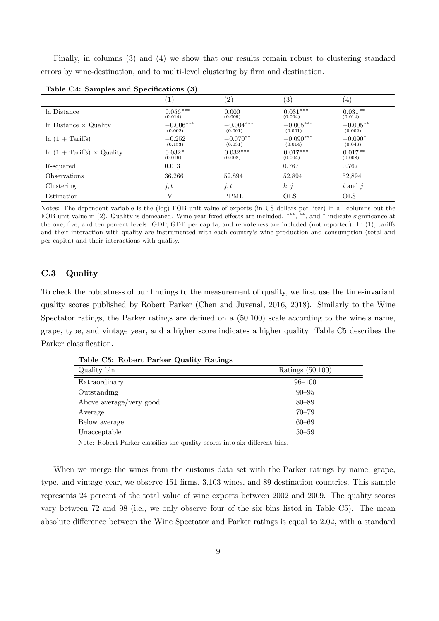Finally, in columns (3) and (4) we show that our results remain robust to clustering standard errors by wine-destination, and to multi-level clustering by firm and destination.

|                                          | $\sim$                 |                        |                        |                        |
|------------------------------------------|------------------------|------------------------|------------------------|------------------------|
|                                          |                        | (2)                    | (3)                    | $\left(4\right)$       |
| In Distance                              | $0.056***$<br>(0.014)  | 0.000<br>(0.009)       | $0.031***$<br>(0.004)  | $0.031**$<br>(0.014)   |
| In Distance $\times$ Quality             | $-0.006***$<br>(0.002) | $-0.004***$<br>(0.001) | $-0.005***$<br>(0.001) | $-0.005***$<br>(0.002) |
| $\ln(1 + \text{Tariffs})$                | $-0.252$<br>(0.153)    | $-0.070**$<br>(0.031)  | $-0.090***$<br>(0.014) | $-0.090*$<br>(0.046)   |
| $\ln(1 + \text{Tariffs}) \times$ Quality | $0.032*$<br>(0.016)    | $0.032***$<br>(0.008)  | $0.017***$<br>(0.004)  | $0.017**$<br>(0.008)   |
| R-squared                                | 0.013                  |                        | 0.767                  | 0.767                  |
| Observations                             | 36,266                 | 52,894                 | 52,894                 | 52,894                 |
| Clustering                               | j, t                   | j, t                   | k, j                   | $i$ and $j$            |
| Estimation                               | IV                     | PPML                   | <b>OLS</b>             | <b>OLS</b>             |

Table C4: Samples and Specifications (3)

Notes: The dependent variable is the (log) FOB unit value of exports (in US dollars per liter) in all columns but the FOB unit value in (2). Quality is demeaned. Wine-year fixed effects are included. \*\*\*, \*\*, and \* indicate significance at the one, five, and ten percent levels. GDP, GDP per capita, and remoteness are included (not reported). In (1), tariffs and their interaction with quality are instrumented with each country's wine production and consumption (total and per capita) and their interactions with quality.

#### C.3 Quality

To check the robustness of our findings to the measurement of quality, we first use the time-invariant quality scores published by Robert Parker (Chen and Juvenal, 2016, 2018). Similarly to the Wine Spectator ratings, the Parker ratings are defined on a  $(50,100)$  scale according to the wine's name, grape, type, and vintage year, and a higher score indicates a higher quality. Table C5 describes the Parker classification.

| Table C5: Robert Parker Quality Ratings |                    |
|-----------------------------------------|--------------------|
| Quality bin                             | Ratings $(50,100)$ |
| Extraordinary                           | $96 - 100$         |
| Outstanding                             | $90 - 95$          |
| Above average/very good                 | $80 - 89$          |
| Average                                 | $70 - 79$          |
| Below average                           | $60 - 69$          |

Note: Robert Parker classifies the quality scores into six different bins.

Unacceptable 50–59

When we merge the wines from the customs data set with the Parker ratings by name, grape, type, and vintage year, we observe 151 firms, 3,103 wines, and 89 destination countries. This sample represents 24 percent of the total value of wine exports between 2002 and 2009. The quality scores vary between 72 and 98 (i.e., we only observe four of the six bins listed in Table C5). The mean absolute difference between the Wine Spectator and Parker ratings is equal to 2.02, with a standard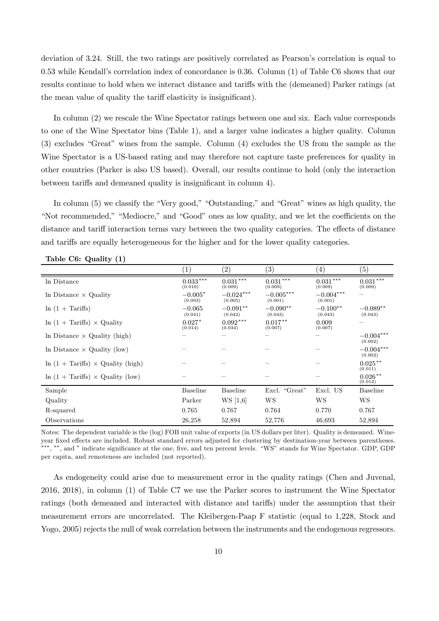deviation of 3.24. Still, the two ratings are positively correlated as Pearson's correlation is equal to 0.53 while Kendall's correlation index of concordance is 0.36. Column (1) of Table C6 shows that our results continue to hold when we interact distance and tariffs with the (demeaned) Parker ratings (at the mean value of quality the tariff elasticity is insignificant).

In column (2) we rescale the Wine Spectator ratings between one and six. Each value corresponds to one of the Wine Spectator bins (Table 1), and a larger value indicates a higher quality. Column (3) excludes "Great" wines from the sample. Column (4) excludes the US from the sample as the Wine Spectator is a US-based rating and may therefore not capture taste preferences for quality in other countries (Parker is also US based). Overall, our results continue to hold (only the interaction between tariffs and demeaned quality is insignificant in column 4).

In column (5) we classify the "Very good," "Outstanding," and "Great" wines as high quality, the "Not recommended," "Mediocre," and "Good" ones as low quality, and we let the coefficients on the distance and tariff interaction terms vary between the two quality categories. The effects of distance and tariffs are equally heterogeneous for the higher and for the lower quality categories.

|                                                 | (1)                   | $\left( 2\right)$      | $\left( 3\right)$          | $\left( 4\right)$      | $\left( 5\right)$      |
|-------------------------------------------------|-----------------------|------------------------|----------------------------|------------------------|------------------------|
| In Distance                                     | $0.033***$<br>(0.010) | $0.031***$<br>(0.009)  | $0.031^{\,***}$<br>(0.009) | $0.031***$<br>(0.009)  | $0.031***$<br>(0.009)  |
| In Distance $\times$ Quality                    | $-0.005*$<br>(0.003)  | $-0.024***$<br>(0.005) | $-0.005***$<br>(0.001)     | $-0.004***$<br>(0.001) |                        |
| $\ln(1 + \text{Tariffs})$                       | $-0.065$<br>(0.041)   | $-0.091**$<br>(0.042)  | $-0.090**$<br>(0.043)      | $-0.100**$<br>(0.043)  | $-0.089**$<br>(0.043)  |
| $\ln(1 + \text{Tariffs}) \times$ Quality        | $0.027*$<br>(0.014)   | $0.092***$<br>(0.034)  | $0.017**$<br>(0.007)       | 0.009<br>(0.007)       |                        |
| In Distance $\times$ Quality (high)             |                       |                        |                            |                        | $-0.004***$<br>(0.002) |
| In Distance $\times$ Quality (low)              |                       |                        |                            |                        | $-0.004***$<br>(0.002) |
| $\ln(1 + \text{Tariffs}) \times$ Quality (high) |                       |                        |                            |                        | $0.025***$<br>(0.011)  |
| $\ln(1 + \text{Tariffs}) \times$ Quality (low)  |                       |                        |                            |                        | $0.026***$<br>(0.012)  |
| Sample                                          | <b>Baseline</b>       | <b>Baseline</b>        | Excl. "Great"              | Excl. US               | <b>Baseline</b>        |
| Quality                                         | Parker                | WS [1,6]               | WS                         | WS                     | WS                     |
| R-squared                                       | 0.765                 | 0.767                  | 0.764                      | 0.770                  | 0.767                  |
| Observations                                    | 26,258                | 52,894                 | 52,776                     | 46,693                 | 52,894                 |

Table C6: Quality (1)

Notes: The dependent variable is the (log) FOB unit value of exports (in US dollars per liter). Quality is demeaned. Wineyear fixed effects are included. Robust standard errors adjusted for clustering by destination-year between parentheses. \*\*\*, \*\*, and \* indicate significance at the one, five, and ten percent levels. "WS" stands for Wine Spectator. GDP, GDP per capita, and remoteness are included (not reported).

As endogeneity could arise due to measurement error in the quality ratings (Chen and Juvenal, 2016, 2018), in column (1) of Table C7 we use the Parker scores to instrument the Wine Spectator ratings (both demeaned and interacted with distance and tariffs) under the assumption that their measurement errors are uncorrelated. The Kleibergen-Paap F statistic (equal to 1,228, Stock and Yogo, 2005) rejects the null of weak correlation between the instruments and the endogenous regressors.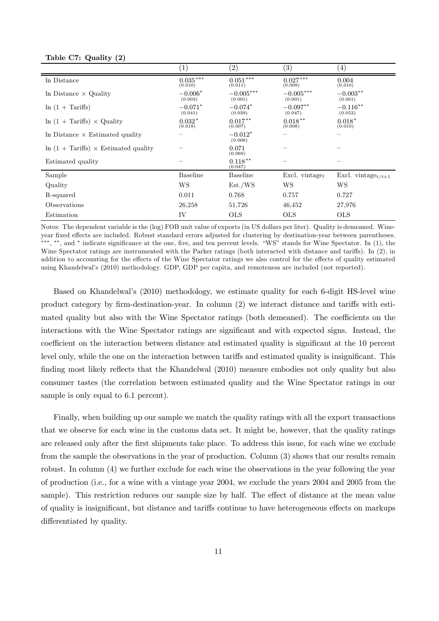|                                                    | $\left( 1\right)$     | (2)                    | $\left( 3\right)$          | $\left(4\right)$      |
|----------------------------------------------------|-----------------------|------------------------|----------------------------|-----------------------|
| In Distance                                        | $0.035***$<br>(0.010) | $0.051***$<br>(0.011)  | $0.027***$<br>(0.009)      | 0.004<br>(0.010)      |
| In Distance $\times$ Quality                       | $-0.006*$<br>(0.003)  | $-0.005***$<br>(0.001) | $-0.005***$<br>(0.001)     | $-0.003**$<br>(0.001) |
| $\ln(1 + \text{Tariffs})$                          | $-0.071*$<br>(0.041)  | $-0.074*$<br>(0.039)   | $-0.097**$<br>(0.047)      | $-0.116**$<br>(0.052) |
| $\ln(1 + \text{Tariffs}) \times$ Quality           | $0.032*$<br>(0.018)   | $0.017***$<br>(0.007)  | $0.018***$<br>(0.008)      | $0.018*$<br>(0.010)   |
| In Distance $\times$ Estimated quality             |                       | $-0.012*$<br>(0.006)   |                            |                       |
| $\ln(1 + \text{Tariffs}) \times$ Estimated quality |                       | 0.071<br>(0.069)       |                            |                       |
| Estimated quality                                  |                       | $0.118**$<br>(0.047)   |                            |                       |
| Sample                                             | <b>Baseline</b>       | <b>Baseline</b>        | Excl. vintage <sub>t</sub> | Excl. vintage $t/t+1$ |
| Quality                                            | WS                    | Est./WS                | WS                         | WS                    |
| R-squared                                          | 0.011                 | 0.768                  | 0.757                      | 0.727                 |
| Observations                                       | 26,258                | 51,726                 | 46,452                     | 27,976                |
| Estimation                                         | IV                    | <b>OLS</b>             | <b>OLS</b>                 | <b>OLS</b>            |

Notes: The dependent variable is the (log) FOB unit value of exports (in US dollars per liter). Quality is demeaned. Wineyear fixed effects are included. Robust standard errors adjusted for clustering by destination-year between parentheses. \*\*\*, \*\*, and \* indicate significance at the one, five, and ten percent levels. "WS" stands for Wine Spectator. In  $(1)$ , the Wine Spectator ratings are instrumented with the Parker ratings (both interacted with distance and tariffs). In (2), in addition to accounting for the effects of the Wine Spectator ratings we also control for the effects of quality estimated using Khandelwal's (2010) methodology. GDP, GDP per capita, and remoteness are included (not reported).

Based on Khandelwal's (2010) methodology, we estimate quality for each 6-digit HS-level wine product category by firm-destination-year. In column  $(2)$  we interact distance and tariffs with estimated quality but also with the Wine Spectator ratings (both demeaned). The coefficients on the interactions with the Wine Spectator ratings are significant and with expected signs. Instead, the coefficient on the interaction between distance and estimated quality is significant at the 10 percent level only, while the one on the interaction between tariffs and estimated quality is insignificant. This finding most likely reflects that the Khandelwal (2010) measure embodies not only quality but also consumer tastes (the correlation between estimated quality and the Wine Spectator ratings in our sample is only equal to  $6.1$  percent).

Finally, when building up our sample we match the quality ratings with all the export transactions that we observe for each wine in the customs data set. It might be, however, that the quality ratings are released only after the first shipments take place. To address this issue, for each wine we exclude from the sample the observations in the year of production. Column (3) shows that our results remain robust. In column (4) we further exclude for each wine the observations in the year following the year of production (i.e., for a wine with a vintage year 2004, we exclude the years 2004 and 2005 from the sample). This restriction reduces our sample size by half. The effect of distance at the mean value of quality is insignificant, but distance and tariffs continue to have heterogeneous effects on markups differentiated by quality.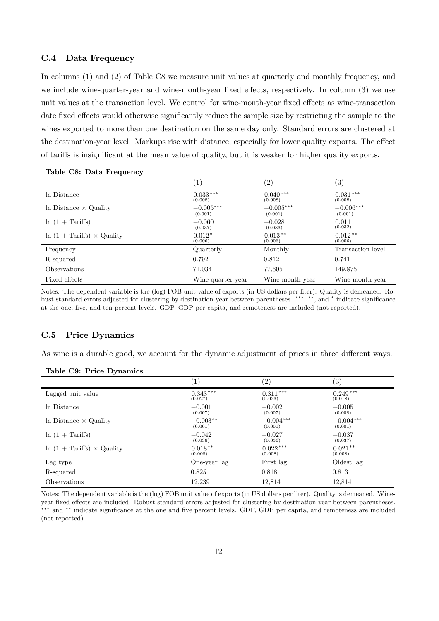#### C.4 Data Frequency

In columns (1) and (2) of Table C8 we measure unit values at quarterly and monthly frequency, and we include wine-quarter-year and wine-month-year fixed effects, respectively. In column (3) we use unit values at the transaction level. We control for wine-month-year fixed effects as wine-transaction date fixed effects would otherwise significantly reduce the sample size by restricting the sample to the wines exported to more than one destination on the same day only. Standard errors are clustered at the destination-year level. Markups rise with distance, especially for lower quality exports. The effect of tariffs is insignificant at the mean value of quality, but it is weaker for higher quality exports.

|                                          | $\left  \right $       | $\left( 2\right)$      | (3)                    |
|------------------------------------------|------------------------|------------------------|------------------------|
| In Distance                              | $0.033***$<br>(0.008)  | $0.040***$<br>(0.008)  | $0.031***$<br>(0.008)  |
| In Distance $\times$ Quality             | $-0.005***$<br>(0.001) | $-0.005***$<br>(0.001) | $-0.006***$<br>(0.001) |
| $\ln(1 + \text{Tariffs})$                | $-0.060$<br>(0.037)    | $-0.028$<br>(0.033)    | 0.011<br>(0.032)       |
| $\ln(1 + \text{Tariffs}) \times$ Quality | $0.012*$<br>(0.006)    | $0.013***$<br>(0.006)  | $0.012***$<br>(0.006)  |
| Frequency                                | Quarterly              | Monthly                | Transaction level      |
| R-squared                                | 0.792                  | 0.812                  | 0.741                  |
| Observations                             | 71,034                 | 77,605                 | 149,875                |
| Fixed effects                            | Wine-quarter-year      | Wine-month-year        | Wine-month-year        |

|  |  |  | Table C8: Data Frequency |
|--|--|--|--------------------------|
|--|--|--|--------------------------|

Notes: The dependent variable is the (log) FOB unit value of exports (in US dollars per liter). Quality is demeaned. Robust standard errors adjusted for clustering by destination-year between parentheses. \*\*\*, \*\*, and \* indicate significance at the one, five, and ten percent levels. GDP, GDP per capita, and remoteness are included (not reported).

#### C.5 Price Dynamics

As wine is a durable good, we account for the dynamic adjustment of prices in three different ways.

|                                          | $\left(1\right)$ | (2)         | (3)         |
|------------------------------------------|------------------|-------------|-------------|
| Lagged unit value                        | $0.343***$       | $0.311***$  | $0.249***$  |
|                                          | (0.027)          | (0.023)     | (0.018)     |
| In Distance                              | $-0.001$         | $-0.002$    | $-0.005$    |
|                                          | (0.007)          | (0.007)     | (0.008)     |
| In Distance $\times$ Quality             | $-0.003**$       | $-0.004***$ | $-0.004***$ |
|                                          | (0.001)          | (0.001)     | (0.001)     |
| $\ln(1 + \text{Tariffs})$                | $-0.042$         | $-0.027$    | $-0.037$    |
|                                          | (0.036)          | (0.036)     | (0.037)     |
| $\ln(1 + \text{Tariffs}) \times$ Quality | $0.018***$       | $0.022***$  | $0.021**$   |
|                                          | (0.008)          | (0.008)     | (0.008)     |
| Lag type                                 | One-year lag     | First lag   | Oldest lag  |
| R-squared                                | 0.825            | 0.818       | 0.813       |
| Observations                             | 12.239           | 12,814      | 12,814      |

|  | Table C9: Price Dynamics |  |
|--|--------------------------|--|
|  |                          |  |

Notes: The dependent variable is the (log) FOB unit value of exports (in US dollars per liter). Quality is demeaned. Wineyear fixed effects are included. Robust standard errors adjusted for clustering by destination-year between parentheses. \*\*\* and \*\* indicate significance at the one and five percent levels. GDP, GDP per capita, and remoteness are included (not reported).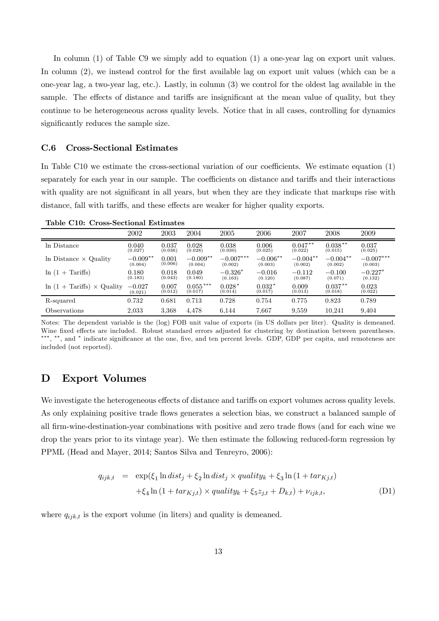In column (1) of Table C9 we simply add to equation (1) a one-year lag on export unit values. In column  $(2)$ , we instead control for the first available lag on export unit values (which can be a one-year lag, a two-year lag, etc.). Lastly, in column (3) we control for the oldest lag available in the sample. The effects of distance and tariffs are insignificant at the mean value of quality, but they continue to be heterogeneous across quality levels. Notice that in all cases, controlling for dynamics significantly reduces the sample size.

#### C.6 Cross-Sectional Estimates

In Table C10 we estimate the cross-sectional variation of our coefficients. We estimate equation  $(1)$ separately for each year in our sample. The coefficients on distance and tariffs and their interactions with quality are not significant in all years, but when they are they indicate that markups rise with distance, fall with tariffs, and these effects are weaker for higher quality exports.

| Lable CTV. Cross-Sectional Estimates     |            |         |            |                |            |            |             |             |
|------------------------------------------|------------|---------|------------|----------------|------------|------------|-------------|-------------|
|                                          | 2002       | 2003    | 2004       | 2005           | 2006       | 2007       | 2008        | 2009        |
| ln Distance                              | 0.040      | 0.037   | 0.028      | 0.038          | 0.006      | $0.047***$ | $0.038**$   | 0.037       |
|                                          | (0.027)    | (0.036) | (0.028)    | (0.030)        | (0.025)    | (0.022)    | (0.015)     | (0.025)     |
| $\ln$ Distance $\times$ Quality          | $-0.009**$ | 0.001   | $-0.009**$ | $-0.007^{***}$ | $-0.006**$ | $-0.004**$ | $-0.004***$ | $-0.007***$ |
|                                          | (0.004)    | (0.006) | (0.004)    | (0.002)        | (0.003)    | (0.002)    | (0.002)     | (0.003)     |
| $ln(1 + Tariffs)$                        | 0.180      | 0.018   | 0.049      | $-0.326*$      | $-0.016$   | $-0.112$   | $-0.100$    | $-0.227*$   |
|                                          | (0.183)    | (0.043) | (0.180)    | (0.163)        | (0.120)    | (0.087)    | (0.071)     | (0.132)     |
| $\ln(1 + \text{Tariffs}) \times$ Quality | $-0.027$   | 0.007   | $0.055***$ | $0.028*$       | $0.032*$   | 0.009      | $0.037**$   | 0.023       |
|                                          | (0.021)    | (0.012) | (0.017)    | (0.014)        | (0.017)    | (0.013)    | (0.018)     | (0.022)     |
| R-squared                                | 0.732      | 0.681   | 0.713      | 0.728          | 0.754      | 0.775      | 0.823       | 0.789       |
| Observations                             | 2.033      | 3.368   | 4.478      | 6.144          | 7.667      | 9.559      | 10.241      | 9.404       |

Table C10: Cross-Sectional Estimates

Notes: The dependent variable is the (log) FOB unit value of exports (in US dollars per liter). Quality is demeaned. Wine fixed effects are included. Robust standard errors adjusted for clustering by destination between parentheses. \*\*\*, \*\*, and \* indicate significance at the one, five, and ten percent levels. GDP, GDP per capita, and remoteness are included (not reported).

## D Export Volumes

We investigate the heterogeneous effects of distance and tariffs on export volumes across quality levels. As only explaining positive trade flows generates a selection bias, we construct a balanced sample of all firm-wine-destination-year combinations with positive and zero trade flows (and for each wine we drop the years prior to its vintage year). We then estimate the following reduced-form regression by PPML (Head and Mayer, 2014; Santos Silva and Tenreyro, 2006):

$$
q_{ijk,t} = \exp(\xi_1 \ln dist_j + \xi_2 \ln dist_j \times quality_k + \xi_3 \ln (1 + tar_{Kj,t})
$$
  
+
$$
\xi_4 \ln (1 + tar_{Kj,t}) \times quality_k + \xi_5 z_{j,t} + D_{k,t}) + \nu_{ijk,t},
$$
 (D1)

where  $q_{ijk,t}$  is the export volume (in liters) and quality is demeaned.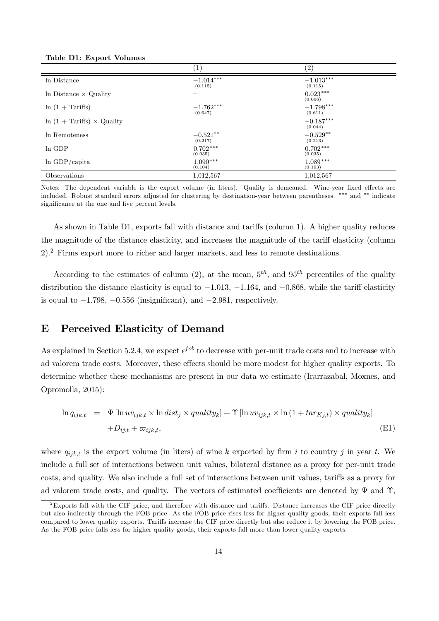| Table D1: Export Volumes |  |  |
|--------------------------|--|--|
|--------------------------|--|--|

|                                          | $\left( 1\right)$      | $\left( 2\right)$      |
|------------------------------------------|------------------------|------------------------|
| In Distance                              | $-1.014***$<br>(0.115) | $-1.013***$<br>(0.115) |
| In Distance $\times$ Quality             |                        | $0.023***$<br>(0.006)  |
| $\ln(1 + \text{Tariffs})$                | $-1.762***$<br>(0.647) | $-1.798***$<br>(0.611) |
| $\ln(1 + \text{Tariffs}) \times$ Quality |                        | $-0.187***$<br>(0.044) |
| In Remoteness                            | $-0.521**$<br>(0.217)  | $-0.529**$<br>(0.213)  |
| ln GDP                                   | $0.702***$<br>(0.035)  | $0.702***$<br>(0.035)  |
| $ln$ GDP/capita                          | $1.090***$<br>(0.104)  | $1.089***$<br>(0.103)  |
| Observations                             | 1,012,567              | 1,012,567              |

Notes: The dependent variable is the export volume (in liters). Quality is demeaned. Wine-year fixed effects are included. Robust standard errors adjusted for clustering by destination-year between parentheses. \*\*\* and \*\* indicate significance at the one and five percent levels.

As shown in Table D1, exports fall with distance and tariffs (column 1). A higher quality reduces the magnitude of the distance elasticity, and increases the magnitude of the tariff elasticity (column 2).<sup>2</sup> Firms export more to richer and larger markets, and less to remote destinations.

According to the estimates of column (2), at the mean,  $5<sup>th</sup>$ , and  $95<sup>th</sup>$  percentiles of the quality distribution the distance elasticity is equal to  $-1.013$ ,  $-1.164$ , and  $-0.868$ , while the tariff elasticity is equal to  $-1.798$ ,  $-0.556$  (insignificant), and  $-2.981$ , respectively.

## E Perceived Elasticity of Demand

As explained in Section 5.2.4, we expect  $\epsilon^{fob}$  to decrease with per-unit trade costs and to increase with ad valorem trade costs. Moreover, these effects should be more modest for higher quality exports. To determine whether these mechanisms are present in our data we estimate (Irarrazabal, Moxnes, and Opromolla, 2015):

$$
\ln q_{ijk,t} = \Psi[\ln uv_{ijk,t} \times \ln dist_j \times quality_k] + \Upsilon[\ln uv_{ijk,t} \times \ln (1 + tar_{Kj,t}) \times quality_k]
$$
  
+ $D_{ij,t} + \varpi_{ijk,t},$  (E1)

where  $q_{ijk,t}$  is the export volume (in liters) of wine k exported by firm i to country j in year t. We include a full set of interactions between unit values, bilateral distance as a proxy for per-unit trade costs, and quality. We also include a full set of interactions between unit values, tariffs as a proxy for ad valorem trade costs, and quality. The vectors of estimated coefficients are denoted by  $\Psi$  and  $\Upsilon$ ,

 $2$ Exports fall with the CIF price, and therefore with distance and tariffs. Distance increases the CIF price directly but also indirectly through the FOB price. As the FOB price rises less for higher quality goods, their exports fall less compared to lower quality exports. Tariffs increase the CIF price directly but also reduce it by lowering the FOB price. As the FOB price falls less for higher quality goods, their exports fall more than lower quality exports.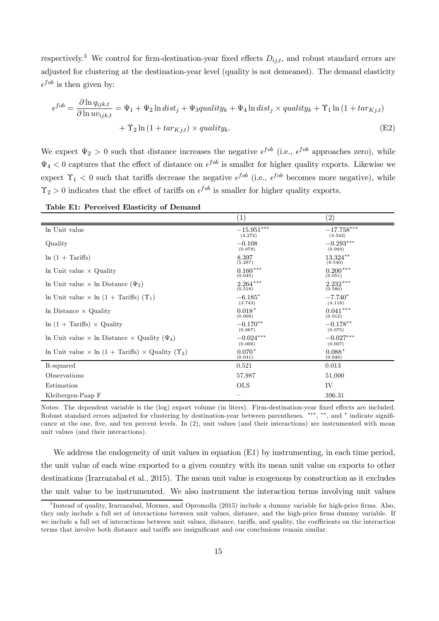respectively.<sup>3</sup> We control for firm-destination-year fixed effects  $D_{ij,t}$ , and robust standard errors are adjusted for clustering at the destination-year level (quality is not demeaned). The demand elasticity  $\epsilon^{fob}$  is then given by:

$$
\epsilon^{fob} = \frac{\partial \ln q_{ijk,t}}{\partial \ln uv_{ijk,t}} = \Psi_1 + \Psi_2 \ln dist_j + \Psi_3 quality_k + \Psi_4 \ln dist_j \times quality_k + \Upsilon_1 \ln (1 + tar_{Kj,t}) + \Upsilon_2 \ln (1 + tar_{Kj,t}) \times quality_k.
$$
\n(E2)

We expect  $\Psi_2 > 0$  such that distance increases the negative  $\epsilon^{fob}$  (i.e.,  $\epsilon^{fob}$  approaches zero), while  $\Psi_4 < 0$  captures that the effect of distance on  $\epsilon^{fob}$  is smaller for higher quality exports. Likewise we expect  $\Upsilon_1$  < 0 such that tariffs decrease the negative  $\epsilon^{fob}$  (i.e.,  $\epsilon^{fob}$  becomes more negative), while  $\Upsilon_2 > 0$  indicates that the effect of tariffs on  $\epsilon^{fob}$  is smaller for higher quality exports.

| Table E1: Perceived Elasticity of Demand |  |  |  |
|------------------------------------------|--|--|--|
|------------------------------------------|--|--|--|

|                                                                           | $\left( 1\right)$       | (2)                     |
|---------------------------------------------------------------------------|-------------------------|-------------------------|
| In Unit value                                                             | $-15.951***$<br>(4.272) | $-17.758***$<br>(4.542) |
| Quality                                                                   | $-0.108$<br>(0.079)     | $-0.293***$<br>(0.093)  |
| $\ln(1 + \text{Tariffs})$                                                 | 8.397<br>(5.287)        | 13.324**<br>(6.540)     |
| In Unit value $\times$ Quality                                            | $0.160***$<br>(0.045)   | $0.200***$<br>(0.051)   |
| In Unit value $\times$ In Distance ( $\Psi_2$ )                           | $2.264***$<br>(0.518)   | $2.232***$<br>(0.580)   |
| In Unit value $\times$ ln (1 + Tariffs) $(\Upsilon_1)$                    | $-6.185*$<br>(3.743)    | $-7.740*$<br>(4.118)    |
| In Distance $\times$ Quality                                              | $0.018*$<br>(0.009)     | $0.041***$<br>(0.012)   |
| $\ln(1 + \text{Tariffs}) \times$ Quality                                  | $-0.170**$<br>(0.067)   | $-0.178**$<br>(0.075)   |
| In Unit value $\times$ In Distance $\times$ Quality ( $\Psi_4$ )          | $-0.024***$<br>(0.006)  | $-0.027***$<br>(0.007)  |
| In Unit value $\times$ ln (1 + Tariffs) $\times$ Quality ( $\Upsilon_2$ ) | $0.070*$<br>(0.041)     | $0.088*$<br>(0.046)     |
| R-squared                                                                 | 0.521                   | 0.013                   |
| Observations                                                              | 57,987                  | 51,000                  |
| Estimation                                                                | <b>OLS</b>              | IV                      |
| Kleibergen-Paap F                                                         |                         | 396.31                  |

Notes: The dependent variable is the (log) export volume (in liters). Firm-destination-year fixed effects are included. Robust standard errors adjusted for clustering by destination-year between parentheses. \*\*\*, \*\*, and \* indicate significance at the one, five, and ten percent levels. In  $(2)$ , unit values (and their interactions) are instrumented with mean unit values (and their interactions).

We address the endogeneity of unit values in equation (E1) by instrumenting, in each time period, the unit value of each wine exported to a given country with its mean unit value on exports to other destinations (Irarrazabal et al., 2015). The mean unit value is exogenous by construction as it excludes the unit value to be instrumented. We also instrument the interaction terms involving unit values

 ${}^{3}$ Instead of quality, Irarrazabal, Moxnes, and Opromolla (2015) include a dummy variable for high-price firms. Also, they only include a full set of interactions between unit values, distance, and the high-price firms dummy variable. If we include a full set of interactions between unit values, distance, tariffs, and quality, the coefficients on the interaction terms that involve both distance and tariffs are insignificant and our conclusions remain similar.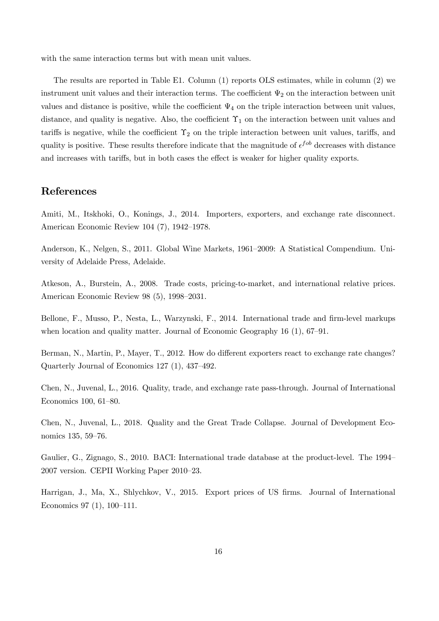with the same interaction terms but with mean unit values.

The results are reported in Table E1. Column (1) reports OLS estimates, while in column (2) we instrument unit values and their interaction terms. The coefficient  $\Psi_2$  on the interaction between unit values and distance is positive, while the coefficient  $\Psi_4$  on the triple interaction between unit values, distance, and quality is negative. Also, the coefficient  $\Upsilon_1$  on the interaction between unit values and tariffs is negative, while the coefficient  $\Upsilon_2$  on the triple interaction between unit values, tariffs, and quality is positive. These results therefore indicate that the magnitude of  $\epsilon^{fob}$  decreases with distance and increases with tariffs, but in both cases the effect is weaker for higher quality exports.

## References

Amiti, M., Itskhoki, O., Konings, J., 2014. Importers, exporters, and exchange rate disconnect. American Economic Review 104 (7), 1942–1978.

Anderson, K., Nelgen, S., 2011. Global Wine Markets, 1961–2009: A Statistical Compendium. University of Adelaide Press, Adelaide.

Atkeson, A., Burstein, A., 2008. Trade costs, pricing-to-market, and international relative prices. American Economic Review 98 (5), 1998–2031.

Bellone, F., Musso, P., Nesta, L., Warzynski, F., 2014. International trade and firm-level markups when location and quality matter. Journal of Economic Geography 16 (1), 67–91.

Berman, N., Martin, P., Mayer, T., 2012. How do different exporters react to exchange rate changes? Quarterly Journal of Economics 127 (1), 437–492.

Chen, N., Juvenal, L., 2016. Quality, trade, and exchange rate pass-through. Journal of International Economics 100, 61–80.

Chen, N., Juvenal, L., 2018. Quality and the Great Trade Collapse. Journal of Development Economics 135, 59–76.

Gaulier, G., Zignago, S., 2010. BACI: International trade database at the product-level. The 1994– 2007 version. CEPII Working Paper 2010–23.

Harrigan, J., Ma, X., Shlychkov, V., 2015. Export prices of US firms. Journal of International Economics 97 (1), 100–111.